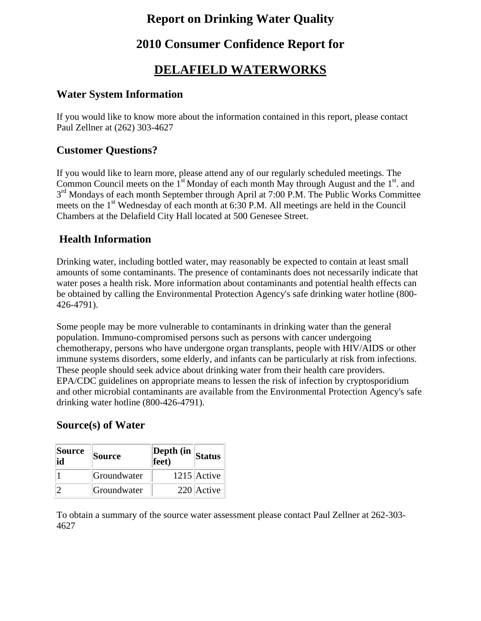### **Report on Drinking Water Quality**

### **2010 Consumer Confidence Report for**

### **DELAFIELD WATERWORKS**

#### **Water System Information**

If you would like to know more about the information contained in this report, please contact Paul Zellner at (262) 303-4627

#### **Customer Questions?**

If you would like to learn more, please attend any of our regularly scheduled meetings. The Common Council meets on the  $1<sup>st</sup>$  Monday of each month May through August and the  $1<sup>st</sup>$ . and  $3<sup>rd</sup>$  Mondays of each month September through April at 7:00 P.M. The Public Works Committee meets on the 1<sup>st</sup> Wednesday of each month at 6:30 P.M. All meetings are held in the Council Chambers at the Delafield City Hall located at 500 Genesee Street.

#### **Health Information**

Drinking water, including bottled water, may reasonably be expected to contain at least small amounts of some contaminants. The presence of contaminants does not necessarily indicate that water poses a health risk. More information about contaminants and potential health effects can be obtained by calling the Environmental Protection Agency's safe drinking water hotline (800- 426-4791).

Some people may be more vulnerable to contaminants in drinking water than the general population. Immuno-compromised persons such as persons with cancer undergoing chemotherapy, persons who have undergone organ transplants, people with HIV/AIDS or other immune systems disorders, some elderly, and infants can be particularly at risk from infections. These people should seek advice about drinking water from their health care providers. EPA/CDC guidelines on appropriate means to lessen the risk of infection by cryptosporidium and other microbial contaminants are available from the Environmental Protection Agency's safe drinking water hotline (800-426-4791).

#### **Source(s) of Water**

| <b>Source</b><br>id | <b>Source</b> | Depth (in<br>$\overline{\text{feet}}$ | Status        |  |
|---------------------|---------------|---------------------------------------|---------------|--|
|                     | Groundwater   |                                       | $1215$ Active |  |
|                     | Groundwater   |                                       | 220 Active    |  |

To obtain a summary of the source water assessment please contact Paul Zellner at 262-303- 4627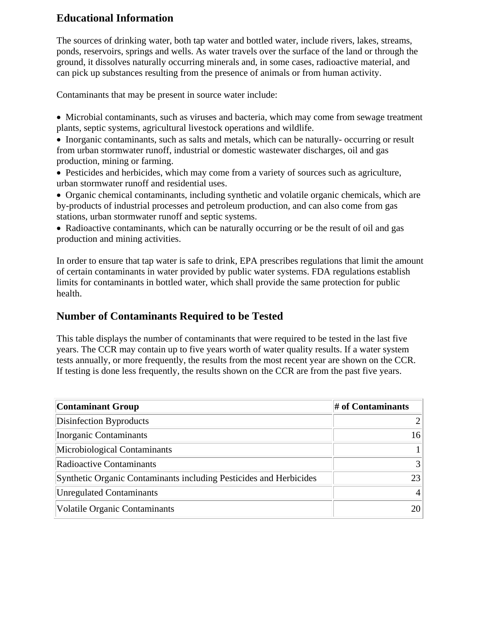#### **Educational Information**

The sources of drinking water, both tap water and bottled water, include rivers, lakes, streams, ponds, reservoirs, springs and wells. As water travels over the surface of the land or through the ground, it dissolves naturally occurring minerals and, in some cases, radioactive material, and can pick up substances resulting from the presence of animals or from human activity.

Contaminants that may be present in source water include:

- Microbial contaminants, such as viruses and bacteria, which may come from sewage treatment plants, septic systems, agricultural livestock operations and wildlife.
- Inorganic contaminants, such as salts and metals, which can be naturally- occurring or result from urban stormwater runoff, industrial or domestic wastewater discharges, oil and gas production, mining or farming.
- Pesticides and herbicides, which may come from a variety of sources such as agriculture, urban stormwater runoff and residential uses.
- Organic chemical contaminants, including synthetic and volatile organic chemicals, which are by-products of industrial processes and petroleum production, and can also come from gas stations, urban stormwater runoff and septic systems.
- Radioactive contaminants, which can be naturally occurring or be the result of oil and gas production and mining activities.

In order to ensure that tap water is safe to drink, EPA prescribes regulations that limit the amount of certain contaminants in water provided by public water systems. FDA regulations establish limits for contaminants in bottled water, which shall provide the same protection for public health.

#### **Number of Contaminants Required to be Tested**

This table displays the number of contaminants that were required to be tested in the last five years. The CCR may contain up to five years worth of water quality results. If a water system tests annually, or more frequently, the results from the most recent year are shown on the CCR. If testing is done less frequently, the results shown on the CCR are from the past five years.

| <b>Contaminant Group</b>                                           | $#$ of Contaminants |
|--------------------------------------------------------------------|---------------------|
| Disinfection Byproducts                                            |                     |
| Inorganic Contaminants                                             | 16                  |
| Microbiological Contaminants                                       |                     |
| Radioactive Contaminants                                           |                     |
| Synthetic Organic Contaminants including Pesticides and Herbicides | 23                  |
| <b>Unregulated Contaminants</b>                                    | $\overline{4}$      |
| <b>Volatile Organic Contaminants</b>                               | 20                  |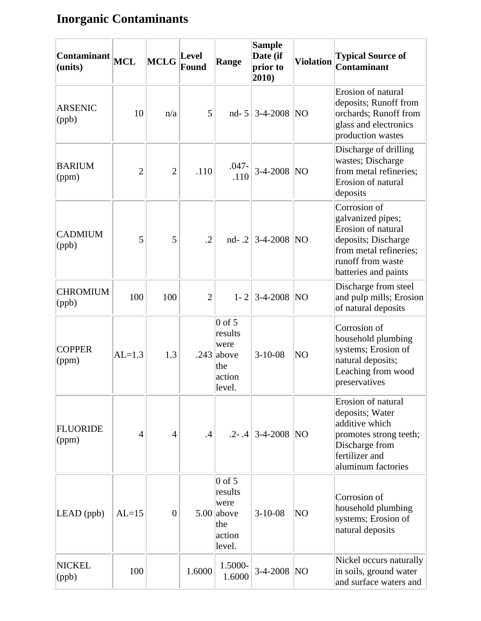# **Inorganic Contaminants**

| Contaminant<br>(units)            | <b>MCL</b>     | <b>MCLG</b>    | Level<br>Found | Range                                                                  | <b>Sample</b><br>Date (if<br>prior to<br>2010) | <b>Violation</b> | <b>Typical Source of</b><br><b>Contaminant</b>                                                                                                        |
|-----------------------------------|----------------|----------------|----------------|------------------------------------------------------------------------|------------------------------------------------|------------------|-------------------------------------------------------------------------------------------------------------------------------------------------------|
| <b>ARSENIC</b><br>(ppb)           | 10             | n/a            | 5              | $nd-5$                                                                 | $3-4-2008$ NO                                  |                  | Erosion of natural<br>deposits; Runoff from<br>orchards; Runoff from<br>glass and electronics<br>production wastes                                    |
| <b>BARIUM</b><br>$\gamma$ (ppm)   | $\overline{2}$ | $\overline{2}$ | .110           | $.047 -$<br>.110                                                       | 3-4-2008 NO                                    |                  | Discharge of drilling<br>wastes; Discharge<br>from metal refineries;<br>Erosion of natural<br>deposits                                                |
| <b>CADMIUM</b><br>$\vert$ (ppb)   | 5              | 5              | $\cdot$ .2     |                                                                        | nd- .2 3-4-2008   NO                           |                  | Corrosion of<br>galvanized pipes;<br>Erosion of natural<br>deposits; Discharge<br>from metal refineries;<br>runoff from waste<br>batteries and paints |
| <b>CHROMIUM</b><br>$\vert$ (ppb)  | 100            | 100            | $\overline{2}$ | $1 - 2$                                                                | $3-4-2008$ NO                                  |                  | Discharge from steel<br>and pulp mills; Erosion<br>of natural deposits                                                                                |
| <b>COPPER</b><br>(ppm)            | $AL=1.3$       | 1.3            |                | $0$ of 5<br>results<br>were<br>$.243$ above<br>the<br>action<br>level. | $3-10-08$                                      | NO               | Corrosion of<br>household plumbing<br>systems; Erosion of<br>natural deposits;<br>Leaching from wood<br>preservatives                                 |
| <b>FLUORIDE</b><br>$\gamma$ (ppm) | $\overline{4}$ | $\overline{4}$ | .4             |                                                                        | $.2 - .4$ 3-4-2008 NO                          |                  | Erosion of natural<br>deposits; Water<br>additive which<br>promotes strong teeth;<br>Discharge from<br>fertilizer and<br>aluminum factories           |
| $LEAD$ (ppb)                      | $AL=15$        | $\overline{0}$ |                | $0$ of 5<br>results<br>were<br>5.00 above<br>the<br>action<br>level.   | $3-10-08$                                      | NO               | Corrosion of<br>household plumbing<br>systems; Erosion of<br>natural deposits                                                                         |
| NICKEL<br>$\vert$ (ppb)           | 100            |                | 1.6000         | 1.5000-<br>1.6000                                                      | 3-4-2008 NO                                    |                  | Nickel occurs naturally<br>in soils, ground water<br>and surface waters and                                                                           |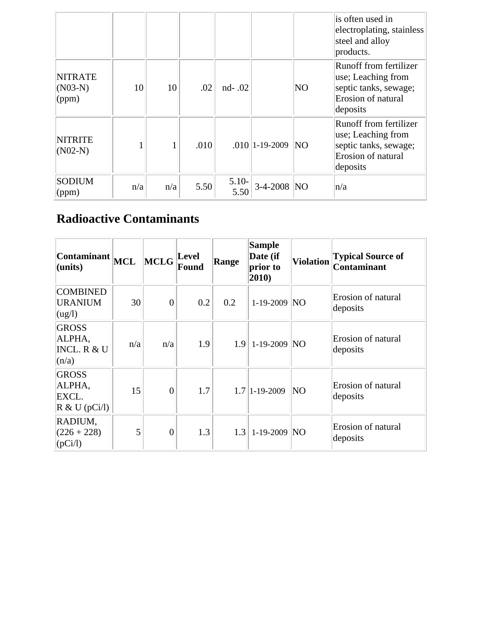|                                      |     |     |      |                 |                    |                 | is often used in<br>electroplating, stainless<br>steel and alloy<br>products.                           |
|--------------------------------------|-----|-----|------|-----------------|--------------------|-----------------|---------------------------------------------------------------------------------------------------------|
| <b>NITRATE</b><br>$(NO3-N)$<br>(ppm) | 10  | 10  | .02  | nd-.02          |                    | NO              | Runoff from fertilizer<br>use; Leaching from<br>septic tanks, sewage;<br>Erosion of natural<br>deposits |
| <b>NITRITE</b><br>$(NO2-N)$          |     |     | .010 |                 | $.010$   1-19-2009 | $\overline{NQ}$ | Runoff from fertilizer<br>use; Leaching from<br>septic tanks, sewage;<br>Erosion of natural<br>deposits |
| <b>SODIUM</b><br>(ppm)               | n/a | n/a | 5.50 | $5.10-$<br>5.50 | 3-4-2008 NO        |                 | n/a                                                                                                     |

## **Radioactive Contaminants**

| $\vert$ Contaminant $\vert\vert_{\text{MCL}}$<br>(units) |     | MCLG           | Level<br>Found | Range | <b>Sample</b><br>Date (if<br>prior to<br>$ 2010\rangle$ | <b>Violation</b> | <b>Typical Source of</b><br><b>Contaminant</b> |
|----------------------------------------------------------|-----|----------------|----------------|-------|---------------------------------------------------------|------------------|------------------------------------------------|
| <b>COMBINED</b><br><b>URANIUM</b><br>(ug/l)              | 30  | $\Omega$       | 0.2            | 0.2   | $1-19-2009$ NO                                          |                  | Erosion of natural<br>deposits                 |
| <b>GROSS</b><br>ALPHA,<br>INCL. R & U<br>(n/a)           | n/a | n/a            | 1.9            |       | $1.9$   1-19-2009   NO                                  |                  | Erosion of natural<br>deposits                 |
| <b>GROSS</b><br>ALPHA,<br>EXCL.<br>R & U (pCi/l)         | 15  | $\overline{0}$ | 1.7            |       | $1.7$   1-19-2009                                       | NO               | Erosion of natural<br>deposits                 |
| RADIUM,<br>$(226 + 228)$<br>(pCi/l)                      | 5   | $\overline{0}$ | 1.3            |       | $1.3$   1-19-2009   NO                                  |                  | Erosion of natural<br>deposits                 |